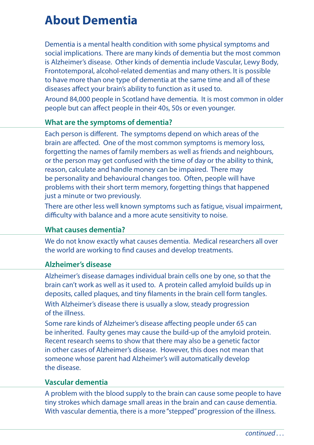# **About Dementia**

Dementia is a mental health condition with some physical symptoms and social implications. There are many kinds of dementia but the most common is Alzheimer's disease. Other kinds of dementia include Vascular, Lewy Body, Frontotemporal, alcohol-related dementias and many others. It is possible to have more than one type of dementia at the same time and all of these diseases affect your brain's ability to function as it used to.

Around 84,000 people in Scotland have dementia. It is most common in older people but can affect people in their 40s, 50s or even younger.

#### **What are the symptoms of dementia?**

Each person is different. The symptoms depend on which areas of the brain are affected. One of the most common symptoms is memory loss, forgetting the names of family members as well as friends and neighbours, or the person may get confused with the time of day or the ability to think, reason, calculate and handle money can be impaired. There may be personality and behavioural changes too. Often, people will have problems with their short term memory, forgetting things that happened just a minute or two previously.

There are other less well known symptoms such as fatigue, visual impairment, difficulty with balance and a more acute sensitivity to noise.

## **What causes dementia?**

We do not know exactly what causes dementia. Medical researchers all over the world are working to find causes and develop treatments.

## **Alzheimer's disease**

Alzheimer's disease damages individual brain cells one by one, so that the brain can't work as well as it used to. A protein called amyloid builds up in deposits, called plaques, and tiny filaments in the brain cell form tangles. With Alzheimer's disease there is usually a slow, steady progression of the illness.

Some rare kinds of Alzheimer's disease affecting people under 65 can be inherited. Faulty genes may cause the build-up of the amyloid protein. Recent research seems to show that there may also be a genetic factor in other cases of Alzheimer's disease. However, this does not mean that someone whose parent had Alzheimer's will automatically develop the disease.

#### **Vascular dementia**

A problem with the blood supply to the brain can cause some people to have tiny strokes which damage small areas in the brain and can cause dementia. With vascular dementia, there is a more "stepped" progression of the illness.